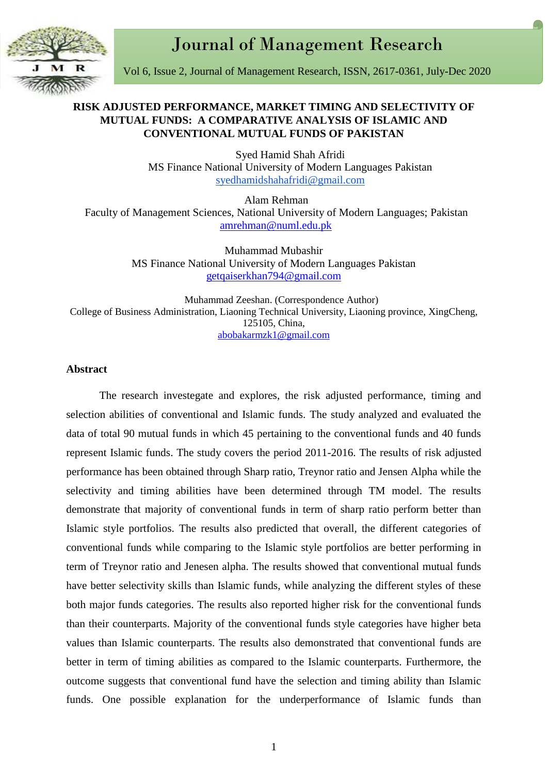Journal of Management Research



Vol 6, Issue 2, Journal of Management Research, ISSN, 2617-0361, July-Dec 2020

# **RISK ADJUSTED PERFORMANCE, MARKET TIMING AND SELECTIVITY OF MUTUAL FUNDS: A COMPARATIVE ANALYSIS OF ISLAMIC AND CONVENTIONAL MUTUAL FUNDS OF PAKISTAN**

Syed Hamid Shah Afridi MS Finance National University of Modern Languages Pakistan [syedhamidshahafridi@gmail.com](mailto:syedhamidshahafridi@gmail.com)

Alam Rehman Faculty of Management Sciences, National University of Modern Languages; Pakistan [amrehman@numl.edu.pk](mailto:amrehman@numl.edu.pk)

> Muhammad Mubashir MS Finance National University of Modern Languages Pakistan [getqaiserkhan794@gmail.com](mailto:getqaiserkhan794@gmail.com)

Muhammad Zeeshan. (Correspondence Author) College of Business Administration, Liaoning Technical University, Liaoning province, XingCheng, 125105, China, abobakarmzk1@gmail.com

### **Abstract**

The research investegate and explores, the risk adjusted performance, timing and selection abilities of conventional and Islamic funds. The study analyzed and evaluated the data of total 90 mutual funds in which 45 pertaining to the conventional funds and 40 funds represent Islamic funds. The study covers the period 2011-2016. The results of risk adjusted performance has been obtained through Sharp ratio, Treynor ratio and Jensen Alpha while the selectivity and timing abilities have been determined through TM model. The results demonstrate that majority of conventional funds in term of sharp ratio perform better than Islamic style portfolios. The results also predicted that overall, the different categories of conventional funds while comparing to the Islamic style portfolios are better performing in term of Treynor ratio and Jenesen alpha. The results showed that conventional mutual funds have better selectivity skills than Islamic funds, while analyzing the different styles of these both major funds categories. The results also reported higher risk for the conventional funds than their counterparts. Majority of the conventional funds style categories have higher beta values than Islamic counterparts. The results also demonstrated that conventional funds are better in term of timing abilities as compared to the Islamic counterparts. Furthermore, the outcome suggests that conventional fund have the selection and timing ability than Islamic funds. One possible explanation for the underperformance of Islamic funds than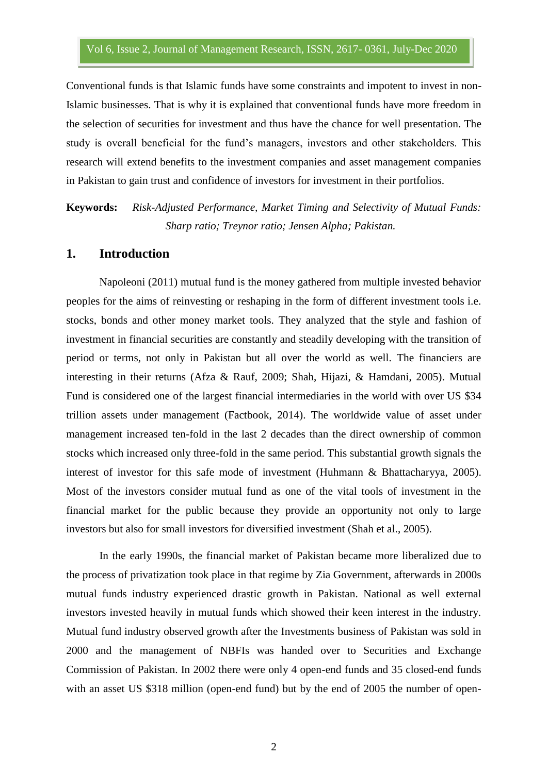Conventional funds is that Islamic funds have some constraints and impotent to invest in non-Islamic businesses. That is why it is explained that conventional funds have more freedom in the selection of securities for investment and thus have the chance for well presentation. The study is overall beneficial for the fund's managers, investors and other stakeholders. This research will extend benefits to the investment companies and asset management companies in Pakistan to gain trust and confidence of investors for investment in their portfolios.

**Keywords:** *Risk-Adjusted Performance, Market Timing and Selectivity of Mutual Funds: Sharp ratio; Treynor ratio; Jensen Alpha; Pakistan.*

### **1. Introduction**

Napoleoni (2011) mutual fund is the money gathered from multiple invested behavior peoples for the aims of reinvesting or reshaping in the form of different investment tools i.e. stocks, bonds and other money market tools. They analyzed that the style and fashion of investment in financial securities are constantly and steadily developing with the transition of period or terms, not only in Pakistan but all over the world as well. The financiers are interesting in their returns (Afza & Rauf, 2009; Shah, Hijazi, & Hamdani, 2005). Mutual Fund is considered one of the largest financial intermediaries in the world with over US \$34 trillion assets under management (Factbook, 2014). The worldwide value of asset under management increased ten-fold in the last 2 decades than the direct ownership of common stocks which increased only three-fold in the same period. This substantial growth signals the interest of investor for this safe mode of investment (Huhmann & Bhattacharyya, 2005). Most of the investors consider mutual fund as one of the vital tools of investment in the financial market for the public because they provide an opportunity not only to large investors but also for small investors for diversified investment (Shah et al., 2005).

In the early 1990s, the financial market of Pakistan became more liberalized due to the process of privatization took place in that regime by Zia Government, afterwards in 2000s mutual funds industry experienced drastic growth in Pakistan. National as well external investors invested heavily in mutual funds which showed their keen interest in the industry. Mutual fund industry observed growth after the Investments business of Pakistan was sold in 2000 and the management of NBFIs was handed over to Securities and Exchange Commission of Pakistan. In 2002 there were only 4 open-end funds and 35 closed-end funds with an asset US \$318 million (open-end fund) but by the end of 2005 the number of open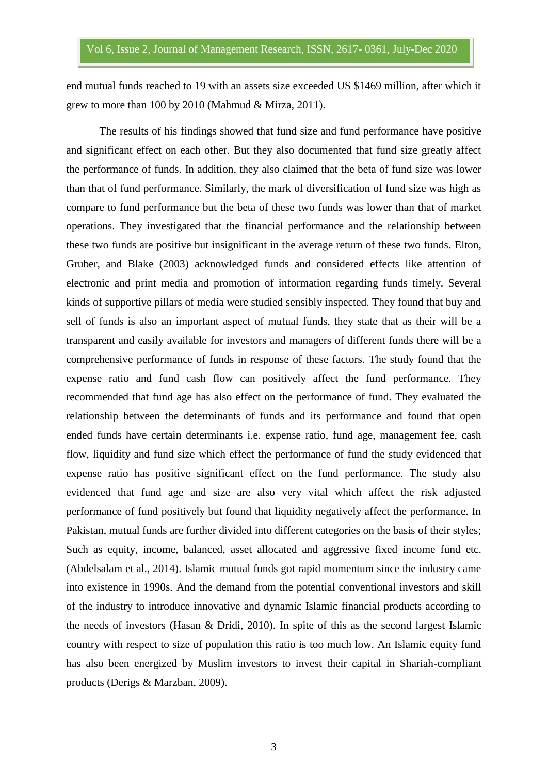end mutual funds reached to 19 with an assets size exceeded US \$1469 million, after which it grew to more than 100 by 2010 (Mahmud & Mirza, 2011).

The results of his findings showed that fund size and fund performance have positive and significant effect on each other. But they also documented that fund size greatly affect the performance of funds. In addition, they also claimed that the beta of fund size was lower than that of fund performance. Similarly, the mark of diversification of fund size was high as compare to fund performance but the beta of these two funds was lower than that of market operations. They investigated that the financial performance and the relationship between these two funds are positive but insignificant in the average return of these two funds. Elton, Gruber, and Blake (2003) acknowledged funds and considered effects like attention of electronic and print media and promotion of information regarding funds timely. Several kinds of supportive pillars of media were studied sensibly inspected. They found that buy and sell of funds is also an important aspect of mutual funds, they state that as their will be a transparent and easily available for investors and managers of different funds there will be a comprehensive performance of funds in response of these factors. The study found that the expense ratio and fund cash flow can positively affect the fund performance. They recommended that fund age has also effect on the performance of fund. They evaluated the relationship between the determinants of funds and its performance and found that open ended funds have certain determinants i.e. expense ratio, fund age, management fee, cash flow, liquidity and fund size which effect the performance of fund the study evidenced that expense ratio has positive significant effect on the fund performance. The study also evidenced that fund age and size are also very vital which affect the risk adjusted performance of fund positively but found that liquidity negatively affect the performance. In Pakistan, mutual funds are further divided into different categories on the basis of their styles; Such as equity, income, balanced, asset allocated and aggressive fixed income fund etc. (Abdelsalam et al., 2014). Islamic mutual funds got rapid momentum since the industry came into existence in 1990s. And the demand from the potential conventional investors and skill of the industry to introduce innovative and dynamic Islamic financial products according to the needs of investors (Hasan & Dridi, 2010). In spite of this as the second largest Islamic country with respect to size of population this ratio is too much low. An Islamic equity fund has also been energized by Muslim investors to invest their capital in Shariah-compliant products (Derigs & Marzban, 2009).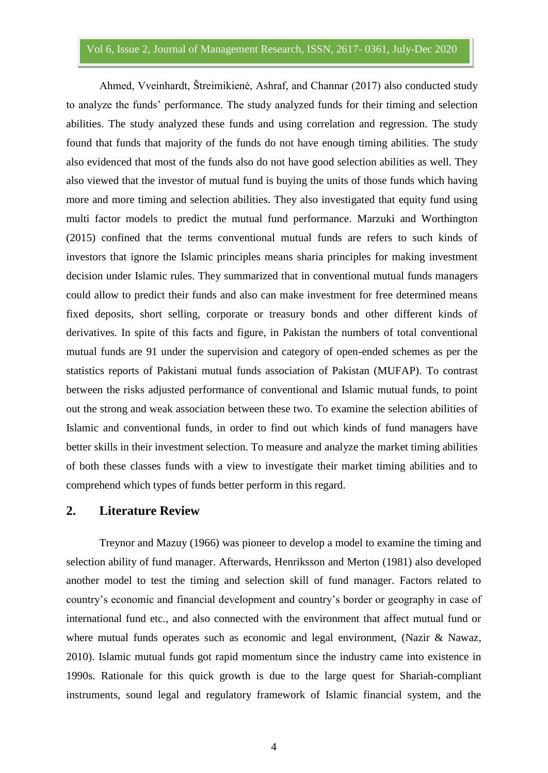Ahmed, Vveinhardt, Štreimikienė, Ashraf, and Channar (2017) also conducted study to analyze the funds' performance. The study analyzed funds for their timing and selection abilities. The study analyzed these funds and using correlation and regression. The study found that funds that majority of the funds do not have enough timing abilities. The study also evidenced that most of the funds also do not have good selection abilities as well. They also viewed that the investor of mutual fund is buying the units of those funds which having more and more timing and selection abilities. They also investigated that equity fund using multi factor models to predict the mutual fund performance. Marzuki and Worthington (2015) confined that the terms conventional mutual funds are refers to such kinds of investors that ignore the Islamic principles means sharia principles for making investment decision under Islamic rules. They summarized that in conventional mutual funds managers could allow to predict their funds and also can make investment for free determined means fixed deposits, short selling, corporate or treasury bonds and other different kinds of derivatives. In spite of this facts and figure, in Pakistan the numbers of total conventional mutual funds are 91 under the supervision and category of open-ended schemes as per the statistics reports of Pakistani mutual funds association of Pakistan (MUFAP). To contrast between the risks adjusted performance of conventional and Islamic mutual funds, to point out the strong and weak association between these two. To examine the selection abilities of Islamic and conventional funds, in order to find out which kinds of fund managers have better skills in their investment selection. To measure and analyze the market timing abilities of both these classes funds with a view to investigate their market timing abilities and to comprehend which types of funds better perform in this regard.

#### **2. Literature Review**

Treynor and Mazuy (1966) was pioneer to develop a model to examine the timing and selection ability of fund manager. Afterwards, Henriksson and Merton (1981) also developed another model to test the timing and selection skill of fund manager. Factors related to country's economic and financial development and country's border or geography in case of international fund etc., and also connected with the environment that affect mutual fund or where mutual funds operates such as economic and legal environment, (Nazir & Nawaz, 2010). Islamic mutual funds got rapid momentum since the industry came into existence in 1990s. Rationale for this quick growth is due to the large quest for Shariah-compliant instruments, sound legal and regulatory framework of Islamic financial system, and the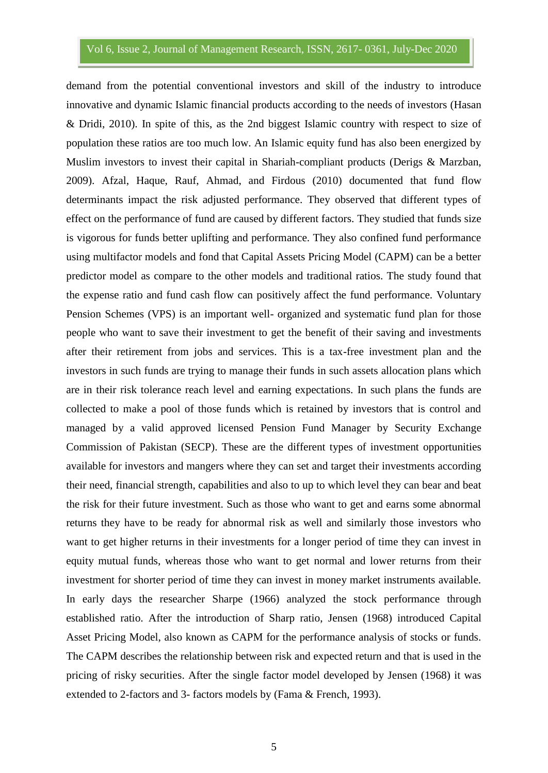demand from the potential conventional investors and skill of the industry to introduce innovative and dynamic Islamic financial products according to the needs of investors (Hasan & Dridi, 2010). In spite of this, as the 2nd biggest Islamic country with respect to size of population these ratios are too much low. An Islamic equity fund has also been energized by Muslim investors to invest their capital in Shariah-compliant products (Derigs & Marzban, 2009). Afzal, Haque, Rauf, Ahmad, and Firdous (2010) documented that fund flow determinants impact the risk adjusted performance. They observed that different types of effect on the performance of fund are caused by different factors. They studied that funds size is vigorous for funds better uplifting and performance. They also confined fund performance using multifactor models and fond that Capital Assets Pricing Model (CAPM) can be a better predictor model as compare to the other models and traditional ratios. The study found that the expense ratio and fund cash flow can positively affect the fund performance. Voluntary Pension Schemes (VPS) is an important well- organized and systematic fund plan for those people who want to save their investment to get the benefit of their saving and investments after their retirement from jobs and services. This is a tax-free investment plan and the investors in such funds are trying to manage their funds in such assets allocation plans which are in their risk tolerance reach level and earning expectations. In such plans the funds are collected to make a pool of those funds which is retained by investors that is control and managed by a valid approved licensed Pension Fund Manager by Security Exchange Commission of Pakistan (SECP). These are the different types of investment opportunities available for investors and mangers where they can set and target their investments according their need, financial strength, capabilities and also to up to which level they can bear and beat the risk for their future investment. Such as those who want to get and earns some abnormal returns they have to be ready for abnormal risk as well and similarly those investors who want to get higher returns in their investments for a longer period of time they can invest in equity mutual funds, whereas those who want to get normal and lower returns from their investment for shorter period of time they can invest in money market instruments available. In early days the researcher Sharpe (1966) analyzed the stock performance through established ratio. After the introduction of Sharp ratio, Jensen (1968) introduced Capital Asset Pricing Model, also known as CAPM for the performance analysis of stocks or funds. The CAPM describes the relationship between risk and expected return and that is used in the pricing of risky securities. After the single factor model developed by Jensen (1968) it was extended to 2-factors and 3- factors models by (Fama & French, 1993).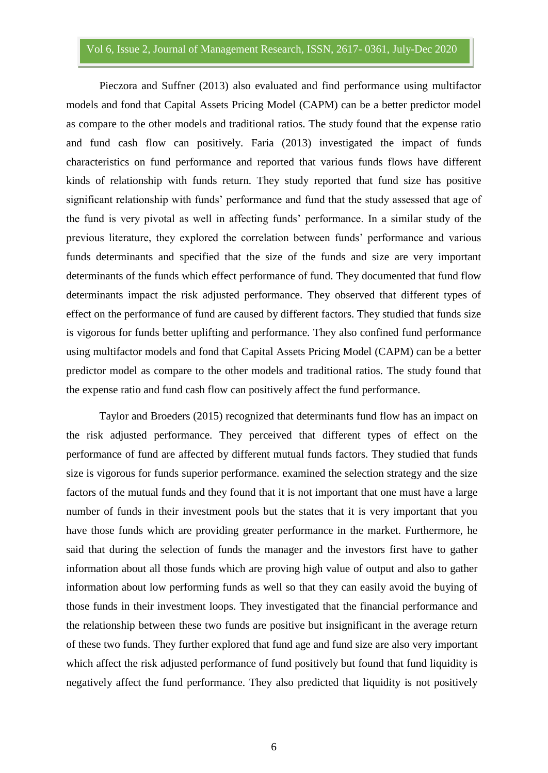Pieczora and Suffner (2013) also evaluated and find performance using multifactor models and fond that Capital Assets Pricing Model (CAPM) can be a better predictor model as compare to the other models and traditional ratios. The study found that the expense ratio and fund cash flow can positively. Faria (2013) investigated the impact of funds characteristics on fund performance and reported that various funds flows have different kinds of relationship with funds return. They study reported that fund size has positive significant relationship with funds' performance and fund that the study assessed that age of the fund is very pivotal as well in affecting funds' performance. In a similar study of the previous literature, they explored the correlation between funds' performance and various funds determinants and specified that the size of the funds and size are very important determinants of the funds which effect performance of fund. They documented that fund flow determinants impact the risk adjusted performance. They observed that different types of effect on the performance of fund are caused by different factors. They studied that funds size is vigorous for funds better uplifting and performance. They also confined fund performance using multifactor models and fond that Capital Assets Pricing Model (CAPM) can be a better predictor model as compare to the other models and traditional ratios. The study found that the expense ratio and fund cash flow can positively affect the fund performance.

Taylor and Broeders (2015) recognized that determinants fund flow has an impact on the risk adjusted performance. They perceived that different types of effect on the performance of fund are affected by different mutual funds factors. They studied that funds size is vigorous for funds superior performance. examined the selection strategy and the size factors of the mutual funds and they found that it is not important that one must have a large number of funds in their investment pools but the states that it is very important that you have those funds which are providing greater performance in the market. Furthermore, he said that during the selection of funds the manager and the investors first have to gather information about all those funds which are proving high value of output and also to gather information about low performing funds as well so that they can easily avoid the buying of those funds in their investment loops. They investigated that the financial performance and the relationship between these two funds are positive but insignificant in the average return of these two funds. They further explored that fund age and fund size are also very important which affect the risk adjusted performance of fund positively but found that fund liquidity is negatively affect the fund performance. They also predicted that liquidity is not positively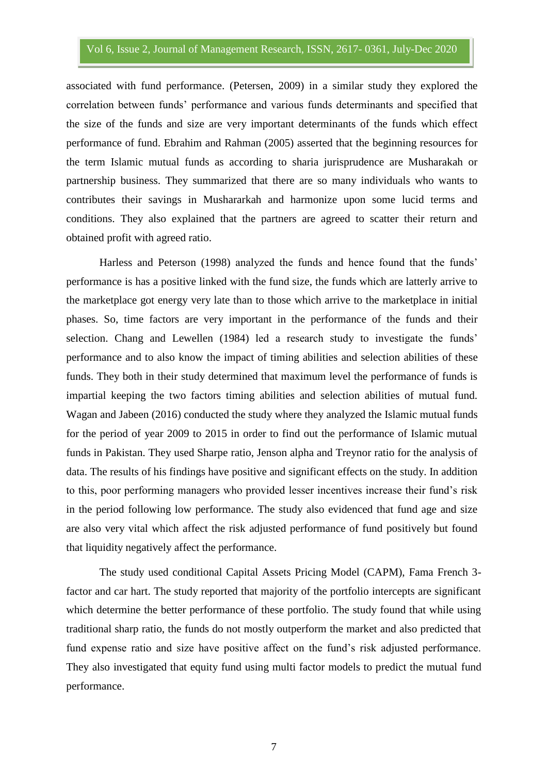associated with fund performance. (Petersen, 2009) in a similar study they explored the correlation between funds' performance and various funds determinants and specified that the size of the funds and size are very important determinants of the funds which effect performance of fund. Ebrahim and Rahman (2005) asserted that the beginning resources for the term Islamic mutual funds as according to sharia jurisprudence are Musharakah or partnership business. They summarized that there are so many individuals who wants to contributes their savings in Mushararkah and harmonize upon some lucid terms and conditions. They also explained that the partners are agreed to scatter their return and obtained profit with agreed ratio.

Harless and Peterson (1998) analyzed the funds and hence found that the funds' performance is has a positive linked with the fund size, the funds which are latterly arrive to the marketplace got energy very late than to those which arrive to the marketplace in initial phases. So, time factors are very important in the performance of the funds and their selection. Chang and Lewellen (1984) led a research study to investigate the funds' performance and to also know the impact of timing abilities and selection abilities of these funds. They both in their study determined that maximum level the performance of funds is impartial keeping the two factors timing abilities and selection abilities of mutual fund. Wagan and Jabeen (2016) conducted the study where they analyzed the Islamic mutual funds for the period of year 2009 to 2015 in order to find out the performance of Islamic mutual funds in Pakistan. They used Sharpe ratio, Jenson alpha and Treynor ratio for the analysis of data. The results of his findings have positive and significant effects on the study. In addition to this, poor performing managers who provided lesser incentives increase their fund's risk in the period following low performance. The study also evidenced that fund age and size are also very vital which affect the risk adjusted performance of fund positively but found that liquidity negatively affect the performance.

The study used conditional Capital Assets Pricing Model (CAPM), Fama French 3 factor and car hart. The study reported that majority of the portfolio intercepts are significant which determine the better performance of these portfolio. The study found that while using traditional sharp ratio, the funds do not mostly outperform the market and also predicted that fund expense ratio and size have positive affect on the fund's risk adjusted performance. They also investigated that equity fund using multi factor models to predict the mutual fund performance.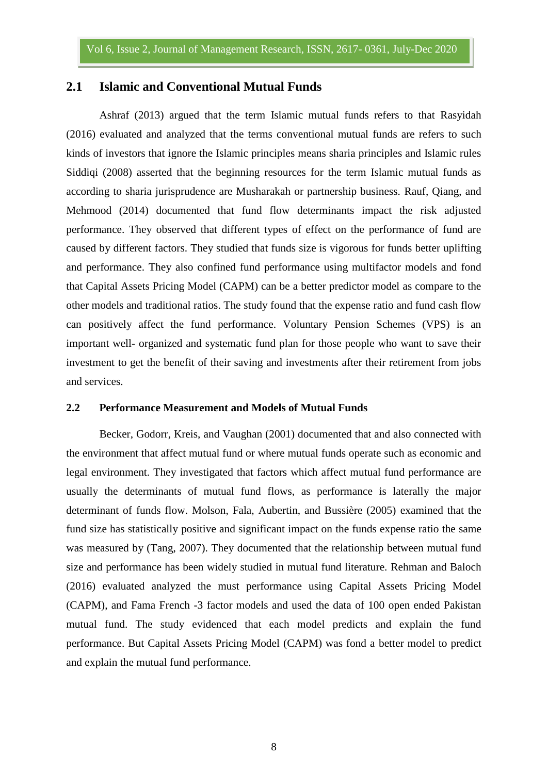### **2.1 Islamic and Conventional Mutual Funds**

Ashraf (2013) argued that the term Islamic mutual funds refers to that Rasyidah (2016) evaluated and analyzed that the terms conventional mutual funds are refers to such kinds of investors that ignore the Islamic principles means sharia principles and Islamic rules Siddiqi (2008) asserted that the beginning resources for the term Islamic mutual funds as according to sharia jurisprudence are Musharakah or partnership business. Rauf, Qiang, and Mehmood (2014) documented that fund flow determinants impact the risk adjusted performance. They observed that different types of effect on the performance of fund are caused by different factors. They studied that funds size is vigorous for funds better uplifting and performance. They also confined fund performance using multifactor models and fond that Capital Assets Pricing Model (CAPM) can be a better predictor model as compare to the other models and traditional ratios. The study found that the expense ratio and fund cash flow can positively affect the fund performance. Voluntary Pension Schemes (VPS) is an important well- organized and systematic fund plan for those people who want to save their investment to get the benefit of their saving and investments after their retirement from jobs and services.

#### **2.2 Performance Measurement and Models of Mutual Funds**

Becker, Godorr, Kreis, and Vaughan (2001) documented that and also connected with the environment that affect mutual fund or where mutual funds operate such as economic and legal environment. They investigated that factors which affect mutual fund performance are usually the determinants of mutual fund flows, as performance is laterally the major determinant of funds flow. Molson, Fala, Aubertin, and Bussière (2005) examined that the fund size has statistically positive and significant impact on the funds expense ratio the same was measured by (Tang, 2007). They documented that the relationship between mutual fund size and performance has been widely studied in mutual fund literature. Rehman and Baloch (2016) evaluated analyzed the must performance using Capital Assets Pricing Model (CAPM), and Fama French -3 factor models and used the data of 100 open ended Pakistan mutual fund. The study evidenced that each model predicts and explain the fund performance. But Capital Assets Pricing Model (CAPM) was fond a better model to predict and explain the mutual fund performance.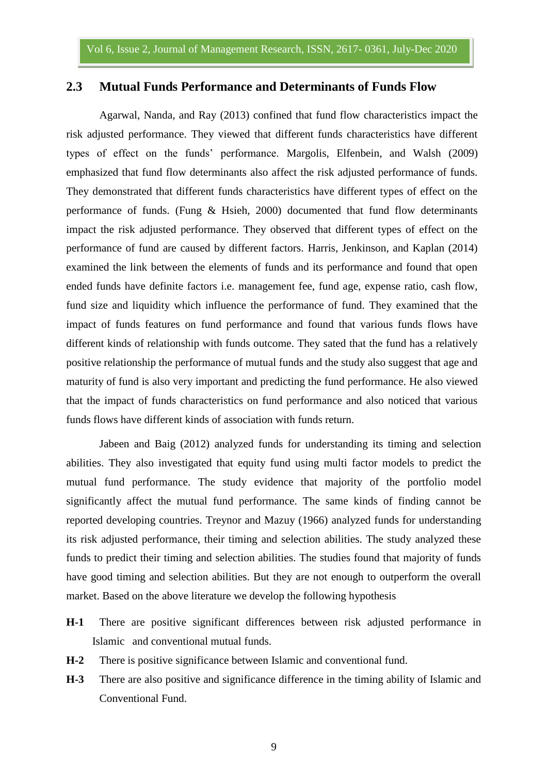#### **2.3 Mutual Funds Performance and Determinants of Funds Flow**

Agarwal, Nanda, and Ray (2013) confined that fund flow characteristics impact the risk adjusted performance. They viewed that different funds characteristics have different types of effect on the funds' performance. Margolis, Elfenbein, and Walsh (2009) emphasized that fund flow determinants also affect the risk adjusted performance of funds. They demonstrated that different funds characteristics have different types of effect on the performance of funds. (Fung  $\&$  Hsieh, 2000) documented that fund flow determinants impact the risk adjusted performance. They observed that different types of effect on the performance of fund are caused by different factors. Harris, Jenkinson, and Kaplan (2014) examined the link between the elements of funds and its performance and found that open ended funds have definite factors i.e. management fee, fund age, expense ratio, cash flow, fund size and liquidity which influence the performance of fund. They examined that the impact of funds features on fund performance and found that various funds flows have different kinds of relationship with funds outcome. They sated that the fund has a relatively positive relationship the performance of mutual funds and the study also suggest that age and maturity of fund is also very important and predicting the fund performance. He also viewed that the impact of funds characteristics on fund performance and also noticed that various funds flows have different kinds of association with funds return.

Jabeen and Baig (2012) analyzed funds for understanding its timing and selection abilities. They also investigated that equity fund using multi factor models to predict the mutual fund performance. The study evidence that majority of the portfolio model significantly affect the mutual fund performance. The same kinds of finding cannot be reported developing countries. Treynor and Mazuy (1966) analyzed funds for understanding its risk adjusted performance, their timing and selection abilities. The study analyzed these funds to predict their timing and selection abilities. The studies found that majority of funds have good timing and selection abilities. But they are not enough to outperform the overall market. Based on the above literature we develop the following hypothesis

- **H-1** There are positive significant differences between risk adjusted performance in Islamic and conventional mutual funds.
- **H-2** There is positive significance between Islamic and conventional fund.
- **H-3** There are also positive and significance difference in the timing ability of Islamic and Conventional Fund.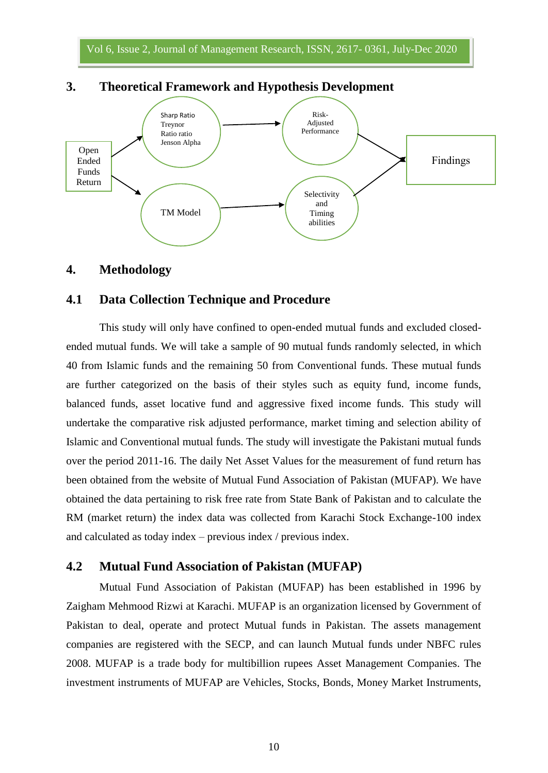

# **3. Theoretical Framework and Hypothesis Development**

#### **4. Methodology**

# **4.1 Data Collection Technique and Procedure**

This study will only have confined to open-ended mutual funds and excluded closedended mutual funds. We will take a sample of 90 mutual funds randomly selected, in which 40 from Islamic funds and the remaining 50 from Conventional funds. These mutual funds are further categorized on the basis of their styles such as equity fund, income funds, balanced funds, asset locative fund and aggressive fixed income funds. This study will undertake the comparative risk adjusted performance, market timing and selection ability of Islamic and Conventional mutual funds. The study will investigate the Pakistani mutual funds over the period 2011-16. The daily Net Asset Values for the measurement of fund return has been obtained from the website of Mutual Fund Association of Pakistan (MUFAP). We have obtained the data pertaining to risk free rate from State Bank of Pakistan and to calculate the RM (market return) the index data was collected from Karachi Stock Exchange-100 index and calculated as today index – previous index / previous index.

# **4.2 Mutual Fund Association of Pakistan (MUFAP)**

Mutual Fund Association of Pakistan (MUFAP) has been established in 1996 by Zaigham Mehmood Rizwi at Karachi. MUFAP is an organization licensed by Government of Pakistan to deal, operate and protect Mutual funds in Pakistan. The assets management companies are registered with the SECP, and can launch Mutual funds under NBFC rules 2008. MUFAP is a trade body for multibillion rupees Asset Management Companies. The investment instruments of MUFAP are Vehicles, Stocks, Bonds, Money Market Instruments,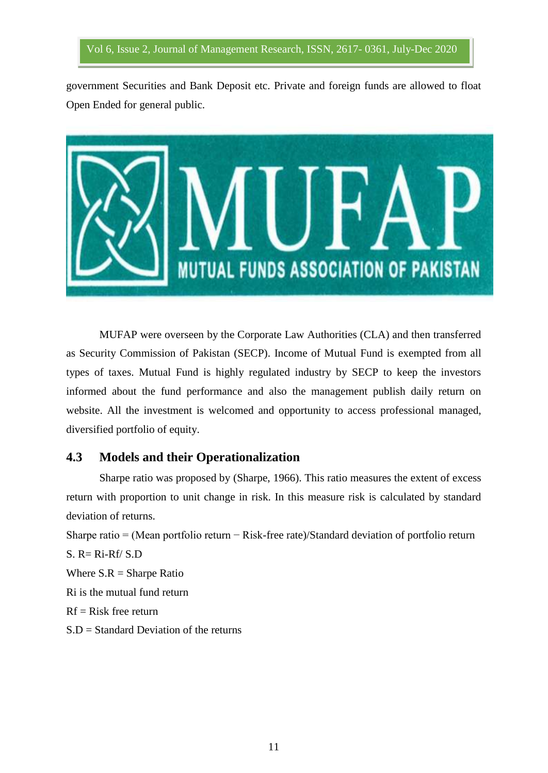government Securities and Bank Deposit etc. Private and foreign funds are allowed to float Open Ended for general public.



MUFAP were overseen by the Corporate Law Authorities (CLA) and then transferred as Security Commission of Pakistan (SECP). Income of Mutual Fund is exempted from all types of taxes. Mutual Fund is highly regulated industry by SECP to keep the investors informed about the fund performance and also the management publish daily return on website. All the investment is welcomed and opportunity to access professional managed, diversified portfolio of equity.

# **4.3 Models and their Operationalization**

Sharpe ratio was proposed by (Sharpe, 1966). This ratio measures the extent of excess return with proportion to unit change in risk. In this measure risk is calculated by standard deviation of returns.

Sharpe ratio = (Mean portfolio return − Risk-free rate)/Standard deviation of portfolio return  $S. R = Ri-Rf/S.D$ Where  $S.R =$  Sharpe Ratio Ri is the mutual fund return  $Rf = Risk$  free return

S.D = Standard Deviation of the returns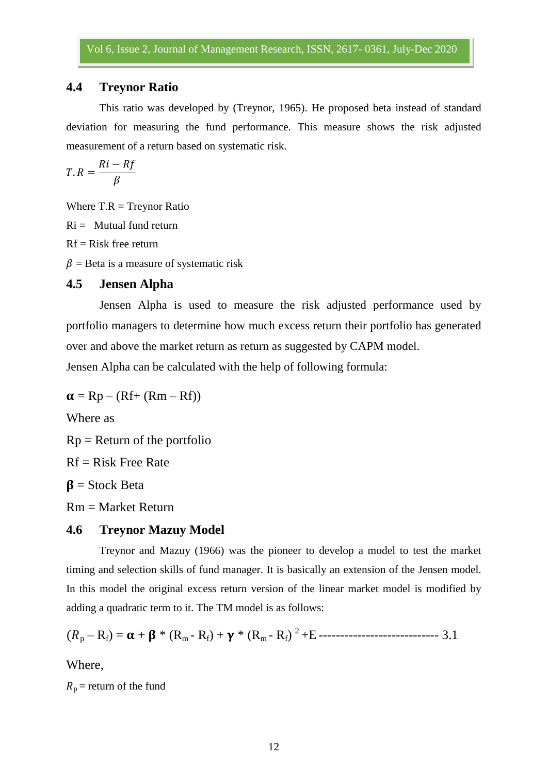# **4.4 Treynor Ratio**

This ratio was developed by (Treynor, 1965). He proposed beta instead of standard deviation for measuring the fund performance. This measure shows the risk adjusted measurement of a return based on systematic risk.

$$
T.R = \frac{Ri - Rf}{\beta}
$$

Where  $T.R = Treynor Ratio$ 

 $Ri =$  Mutual fund return

 $Rf = Risk$  free return

 $\beta$  = Beta is a measure of systematic risk

#### **4.5 Jensen Alpha**

Jensen Alpha is used to measure the risk adjusted performance used by portfolio managers to determine how much excess return their portfolio has generated over and above the market return as return as suggested by CAPM model.

Jensen Alpha can be calculated with the help of following formula:

 $\alpha = Rp - (Rf + (Rm - Rf))$ Where as  $Rp = Return of the portfolio$  $Rf = Risk$  Free Rate  $\beta$  = Stock Beta Rm = Market Return

# **4.6 Treynor Mazuy Model**

Treynor and Mazuy (1966) was the pioneer to develop a model to test the market timing and selection skills of fund manager. It is basically an extension of the Jensen model. In this model the original excess return version of the linear market model is modified by adding a quadratic term to it. The TM model is as follows:

<sup>p</sup> – Rf) = + \* (Rm - Rf) + \* (Rm - Rf) <sup>2</sup>+E ---------------------------- 3.1

Where,

 $R_p$  = return of the fund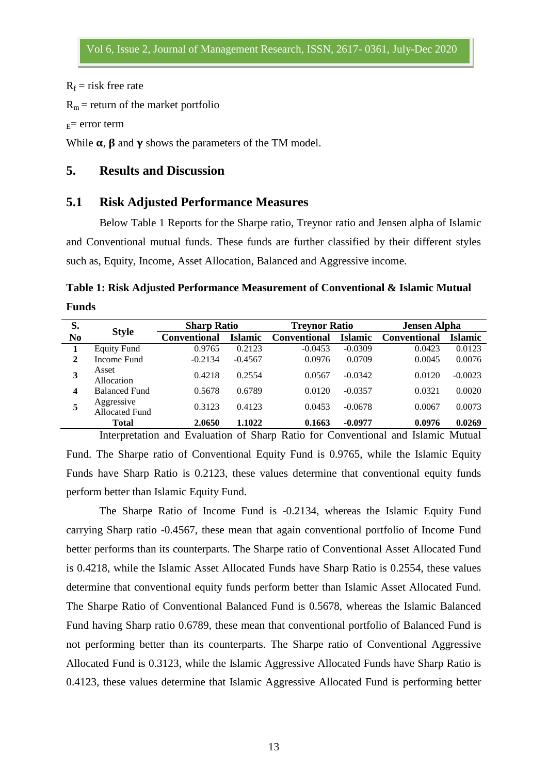$R_f$  = risk free rate

 $R_m$  = return of the market portfolio

 $E =$  error term

While  $\alpha$ ,  $\beta$  and  $\gamma$  shows the parameters of the TM model.

# **5. Results and Discussion**

### **5.1 Risk Adjusted Performance Measures**

Below Table 1 Reports for the Sharpe ratio, Treynor ratio and Jensen alpha of Islamic and Conventional mutual funds. These funds are further classified by their different styles such as, Equity, Income, Asset Allocation, Balanced and Aggressive income.

**Table 1: Risk Adjusted Performance Measurement of Conventional & Islamic Mutual Funds**

| S.                      | <b>Style</b>                        | <b>Sharp Ratio</b>  |                | <b>Treynor Ratio</b> |                | <b>Jensen Alpha</b> |           |
|-------------------------|-------------------------------------|---------------------|----------------|----------------------|----------------|---------------------|-----------|
| N <sub>0</sub>          |                                     | <b>Conventional</b> | <b>Islamic</b> | <b>Conventional</b>  | <b>Islamic</b> | <b>Conventional</b> | Islamic   |
|                         | <b>Equity Fund</b>                  | 0.9765              | 0.2123         | $-0.0453$            | $-0.0309$      | 0.0423              | 0.0123    |
| 2                       | Income Fund                         | $-0.2134$           | $-0.4567$      | 0.0976               | 0.0709         | 0.0045              | 0.0076    |
| 3                       | Asset<br>Allocation                 | 0.4218              | 0.2554         | 0.0567               | $-0.0342$      | 0.0120              | $-0.0023$ |
| $\overline{\mathbf{4}}$ | <b>Balanced Fund</b>                | 0.5678              | 0.6789         | 0.0120               | $-0.0357$      | 0.0321              | 0.0020    |
|                         | Aggressive<br><b>Allocated Fund</b> | 0.3123              | 0.4123         | 0.0453               | $-0.0678$      | 0.0067              | 0.0073    |
|                         | <b>Total</b>                        | 2.0650              | 1.1022         | 0.1663               | $-0.0977$      | 0.0976              | 0.0269    |

Interpretation and Evaluation of Sharp Ratio for Conventional and Islamic Mutual Fund. The Sharpe ratio of Conventional Equity Fund is 0.9765, while the Islamic Equity Funds have Sharp Ratio is 0.2123, these values determine that conventional equity funds perform better than Islamic Equity Fund.

The Sharpe Ratio of Income Fund is -0.2134, whereas the Islamic Equity Fund carrying Sharp ratio -0.4567, these mean that again conventional portfolio of Income Fund better performs than its counterparts. The Sharpe ratio of Conventional Asset Allocated Fund is 0.4218, while the Islamic Asset Allocated Funds have Sharp Ratio is 0.2554, these values determine that conventional equity funds perform better than Islamic Asset Allocated Fund. The Sharpe Ratio of Conventional Balanced Fund is 0.5678, whereas the Islamic Balanced Fund having Sharp ratio 0.6789, these mean that conventional portfolio of Balanced Fund is not performing better than its counterparts. The Sharpe ratio of Conventional Aggressive Allocated Fund is 0.3123, while the Islamic Aggressive Allocated Funds have Sharp Ratio is 0.4123, these values determine that Islamic Aggressive Allocated Fund is performing better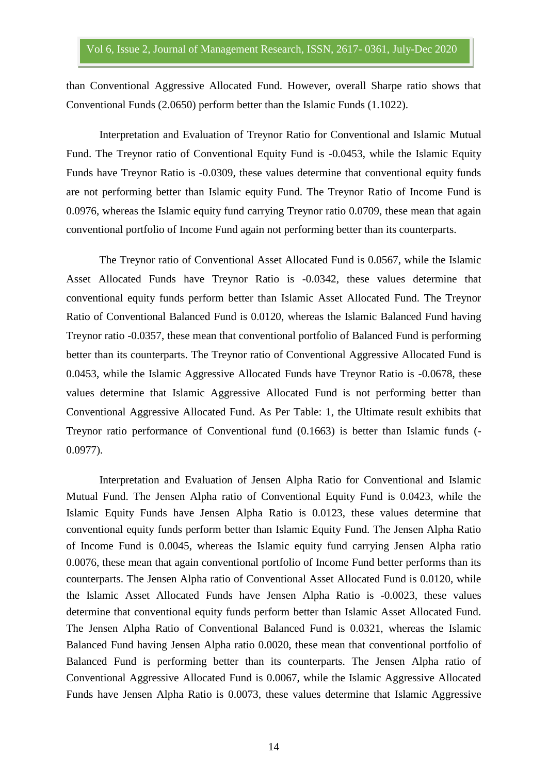than Conventional Aggressive Allocated Fund. However, overall Sharpe ratio shows that Conventional Funds (2.0650) perform better than the Islamic Funds (1.1022).

Interpretation and Evaluation of Treynor Ratio for Conventional and Islamic Mutual Fund. The Treynor ratio of Conventional Equity Fund is -0.0453, while the Islamic Equity Funds have Treynor Ratio is -0.0309, these values determine that conventional equity funds are not performing better than Islamic equity Fund. The Treynor Ratio of Income Fund is 0.0976, whereas the Islamic equity fund carrying Treynor ratio 0.0709, these mean that again conventional portfolio of Income Fund again not performing better than its counterparts.

The Treynor ratio of Conventional Asset Allocated Fund is 0.0567, while the Islamic Asset Allocated Funds have Treynor Ratio is -0.0342, these values determine that conventional equity funds perform better than Islamic Asset Allocated Fund. The Treynor Ratio of Conventional Balanced Fund is 0.0120, whereas the Islamic Balanced Fund having Treynor ratio -0.0357, these mean that conventional portfolio of Balanced Fund is performing better than its counterparts. The Treynor ratio of Conventional Aggressive Allocated Fund is 0.0453, while the Islamic Aggressive Allocated Funds have Treynor Ratio is -0.0678, these values determine that Islamic Aggressive Allocated Fund is not performing better than Conventional Aggressive Allocated Fund. As Per Table: 1, the Ultimate result exhibits that Treynor ratio performance of Conventional fund (0.1663) is better than Islamic funds (- 0.0977).

Interpretation and Evaluation of Jensen Alpha Ratio for Conventional and Islamic Mutual Fund. The Jensen Alpha ratio of Conventional Equity Fund is 0.0423, while the Islamic Equity Funds have Jensen Alpha Ratio is 0.0123, these values determine that conventional equity funds perform better than Islamic Equity Fund. The Jensen Alpha Ratio of Income Fund is 0.0045, whereas the Islamic equity fund carrying Jensen Alpha ratio 0.0076, these mean that again conventional portfolio of Income Fund better performs than its counterparts. The Jensen Alpha ratio of Conventional Asset Allocated Fund is 0.0120, while the Islamic Asset Allocated Funds have Jensen Alpha Ratio is -0.0023, these values determine that conventional equity funds perform better than Islamic Asset Allocated Fund. The Jensen Alpha Ratio of Conventional Balanced Fund is 0.0321, whereas the Islamic Balanced Fund having Jensen Alpha ratio 0.0020, these mean that conventional portfolio of Balanced Fund is performing better than its counterparts. The Jensen Alpha ratio of Conventional Aggressive Allocated Fund is 0.0067, while the Islamic Aggressive Allocated Funds have Jensen Alpha Ratio is 0.0073, these values determine that Islamic Aggressive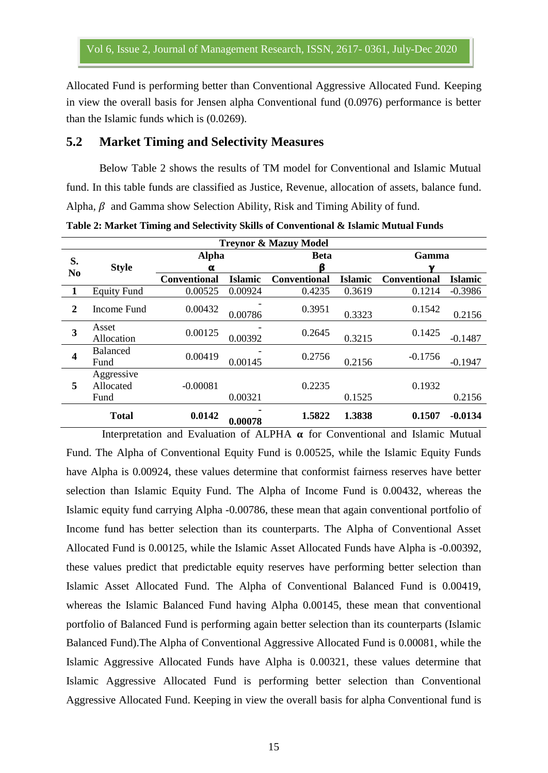Allocated Fund is performing better than Conventional Aggressive Allocated Fund. Keeping in view the overall basis for Jensen alpha Conventional fund (0.0976) performance is better than the Islamic funds which is (0.0269).

#### **5.2 Market Timing and Selectivity Measures**

Below Table 2 shows the results of TM model for Conventional and Islamic Mutual fund. In this table funds are classified as Justice, Revenue, allocation of assets, balance fund. Alpha,  $\beta$  and Gamma show Selection Ability, Risk and Timing Ability of fund.

| <b>Treynor &amp; Mazuy Model</b> |                                 |                     |                |                     |                |              |                |  |  |  |  |  |
|----------------------------------|---------------------------------|---------------------|----------------|---------------------|----------------|--------------|----------------|--|--|--|--|--|
| S.<br>N <sub>0</sub>             | <b>Style</b>                    | <b>Alpha</b>        |                | <b>Beta</b>         |                | Gamma        |                |  |  |  |  |  |
|                                  |                                 | α                   |                | ß                   |                |              |                |  |  |  |  |  |
|                                  |                                 | <b>Conventional</b> | <b>Islamic</b> | <b>Conventional</b> | <b>Islamic</b> | Conventional | <b>Islamic</b> |  |  |  |  |  |
|                                  | <b>Equity Fund</b>              | 0.00525             | 0.00924        | 0.4235              | 0.3619         | 0.1214       | $-0.3986$      |  |  |  |  |  |
| $\boldsymbol{2}$                 | Income Fund                     | 0.00432             | 0.00786        | 0.3951              | 0.3323         | 0.1542       | 0.2156         |  |  |  |  |  |
| 3                                | Asset<br>Allocation             | 0.00125             | 0.00392        | 0.2645              | 0.3215         | 0.1425       | $-0.1487$      |  |  |  |  |  |
| $\overline{\mathbf{4}}$          | <b>Balanced</b><br>Fund         | 0.00419             | 0.00145        | 0.2756              | 0.2156         | $-0.1756$    | $-0.1947$      |  |  |  |  |  |
| 5                                | Aggressive<br>Allocated<br>Fund | $-0.00081$          | 0.00321        | 0.2235              | 0.1525         | 0.1932       | 0.2156         |  |  |  |  |  |
|                                  | <b>Total</b>                    | 0.0142              | 0.00078        | 1.5822              | 1.3838         | 0.1507       | $-0.0134$      |  |  |  |  |  |

**Table 2: Market Timing and Selectivity Skills of Conventional & Islamic Mutual Funds**

Interpretation and Evaluation of ALPHA  $\alpha$  for Conventional and Islamic Mutual Fund. The Alpha of Conventional Equity Fund is 0.00525, while the Islamic Equity Funds have Alpha is 0.00924, these values determine that conformist fairness reserves have better selection than Islamic Equity Fund. The Alpha of Income Fund is 0.00432, whereas the Islamic equity fund carrying Alpha -0.00786, these mean that again conventional portfolio of Income fund has better selection than its counterparts. The Alpha of Conventional Asset Allocated Fund is 0.00125, while the Islamic Asset Allocated Funds have Alpha is -0.00392, these values predict that predictable equity reserves have performing better selection than Islamic Asset Allocated Fund. The Alpha of Conventional Balanced Fund is 0.00419, whereas the Islamic Balanced Fund having Alpha 0.00145, these mean that conventional portfolio of Balanced Fund is performing again better selection than its counterparts (Islamic Balanced Fund).The Alpha of Conventional Aggressive Allocated Fund is 0.00081, while the Islamic Aggressive Allocated Funds have Alpha is 0.00321, these values determine that Islamic Aggressive Allocated Fund is performing better selection than Conventional Aggressive Allocated Fund. Keeping in view the overall basis for alpha Conventional fund is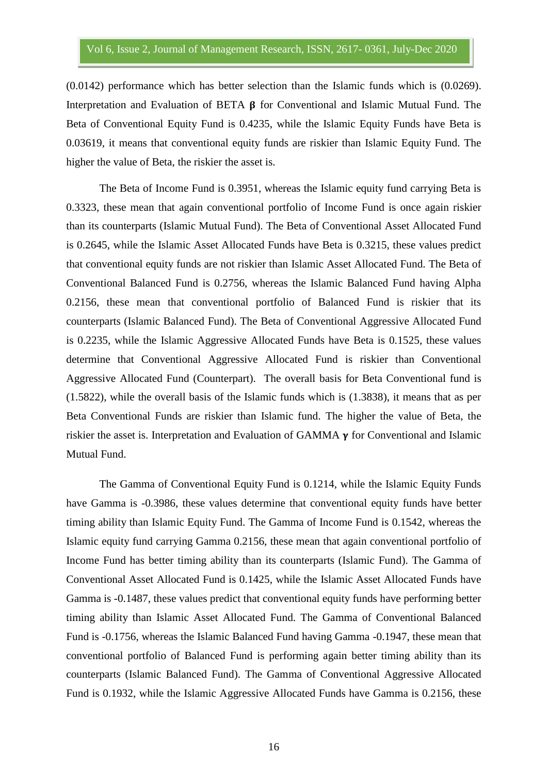(0.0142) performance which has better selection than the Islamic funds which is (0.0269). Interpretation and Evaluation of BETA  $\beta$  for Conventional and Islamic Mutual Fund. The Beta of Conventional Equity Fund is 0.4235, while the Islamic Equity Funds have Beta is 0.03619, it means that conventional equity funds are riskier than Islamic Equity Fund. The higher the value of Beta, the riskier the asset is.

The Beta of Income Fund is 0.3951, whereas the Islamic equity fund carrying Beta is 0.3323, these mean that again conventional portfolio of Income Fund is once again riskier than its counterparts (Islamic Mutual Fund). The Beta of Conventional Asset Allocated Fund is 0.2645, while the Islamic Asset Allocated Funds have Beta is 0.3215, these values predict that conventional equity funds are not riskier than Islamic Asset Allocated Fund. The Beta of Conventional Balanced Fund is 0.2756, whereas the Islamic Balanced Fund having Alpha 0.2156, these mean that conventional portfolio of Balanced Fund is riskier that its counterparts (Islamic Balanced Fund). The Beta of Conventional Aggressive Allocated Fund is 0.2235, while the Islamic Aggressive Allocated Funds have Beta is 0.1525, these values determine that Conventional Aggressive Allocated Fund is riskier than Conventional Aggressive Allocated Fund (Counterpart). The overall basis for Beta Conventional fund is (1.5822), while the overall basis of the Islamic funds which is (1.3838), it means that as per Beta Conventional Funds are riskier than Islamic fund. The higher the value of Beta, the riskier the asset is. Interpretation and Evaluation of GAMMA  $\gamma$  for Conventional and Islamic Mutual Fund.

The Gamma of Conventional Equity Fund is 0.1214, while the Islamic Equity Funds have Gamma is -0.3986, these values determine that conventional equity funds have better timing ability than Islamic Equity Fund. The Gamma of Income Fund is 0.1542, whereas the Islamic equity fund carrying Gamma 0.2156, these mean that again conventional portfolio of Income Fund has better timing ability than its counterparts (Islamic Fund). The Gamma of Conventional Asset Allocated Fund is 0.1425, while the Islamic Asset Allocated Funds have Gamma is -0.1487, these values predict that conventional equity funds have performing better timing ability than Islamic Asset Allocated Fund. The Gamma of Conventional Balanced Fund is -0.1756, whereas the Islamic Balanced Fund having Gamma -0.1947, these mean that conventional portfolio of Balanced Fund is performing again better timing ability than its counterparts (Islamic Balanced Fund). The Gamma of Conventional Aggressive Allocated Fund is 0.1932, while the Islamic Aggressive Allocated Funds have Gamma is 0.2156, these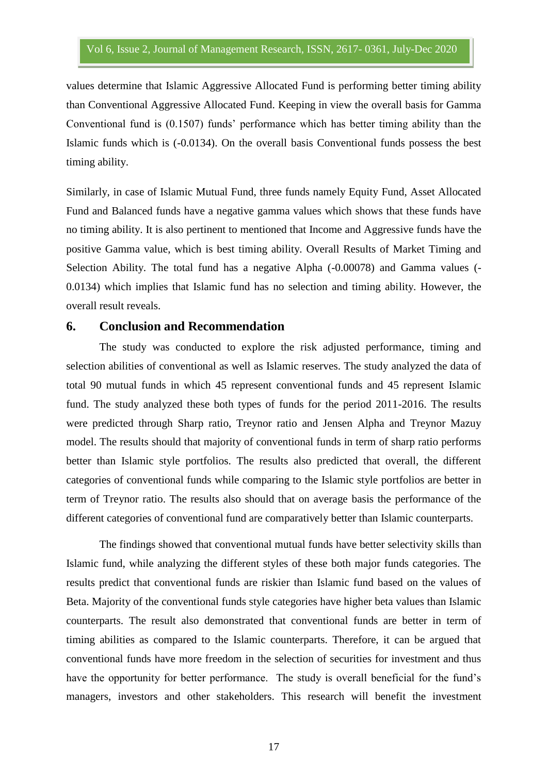values determine that Islamic Aggressive Allocated Fund is performing better timing ability than Conventional Aggressive Allocated Fund. Keeping in view the overall basis for Gamma Conventional fund is (0.1507) funds' performance which has better timing ability than the Islamic funds which is (-0.0134). On the overall basis Conventional funds possess the best timing ability.

Similarly, in case of Islamic Mutual Fund, three funds namely Equity Fund, Asset Allocated Fund and Balanced funds have a negative gamma values which shows that these funds have no timing ability. It is also pertinent to mentioned that Income and Aggressive funds have the positive Gamma value, which is best timing ability. Overall Results of Market Timing and Selection Ability. The total fund has a negative Alpha (-0.00078) and Gamma values (- 0.0134) which implies that Islamic fund has no selection and timing ability. However, the overall result reveals.

### **6. Conclusion and Recommendation**

The study was conducted to explore the risk adjusted performance, timing and selection abilities of conventional as well as Islamic reserves. The study analyzed the data of total 90 mutual funds in which 45 represent conventional funds and 45 represent Islamic fund. The study analyzed these both types of funds for the period 2011-2016. The results were predicted through Sharp ratio, Treynor ratio and Jensen Alpha and Treynor Mazuy model. The results should that majority of conventional funds in term of sharp ratio performs better than Islamic style portfolios. The results also predicted that overall, the different categories of conventional funds while comparing to the Islamic style portfolios are better in term of Treynor ratio. The results also should that on average basis the performance of the different categories of conventional fund are comparatively better than Islamic counterparts.

The findings showed that conventional mutual funds have better selectivity skills than Islamic fund, while analyzing the different styles of these both major funds categories. The results predict that conventional funds are riskier than Islamic fund based on the values of Beta. Majority of the conventional funds style categories have higher beta values than Islamic counterparts. The result also demonstrated that conventional funds are better in term of timing abilities as compared to the Islamic counterparts. Therefore, it can be argued that conventional funds have more freedom in the selection of securities for investment and thus have the opportunity for better performance. The study is overall beneficial for the fund's managers, investors and other stakeholders. This research will benefit the investment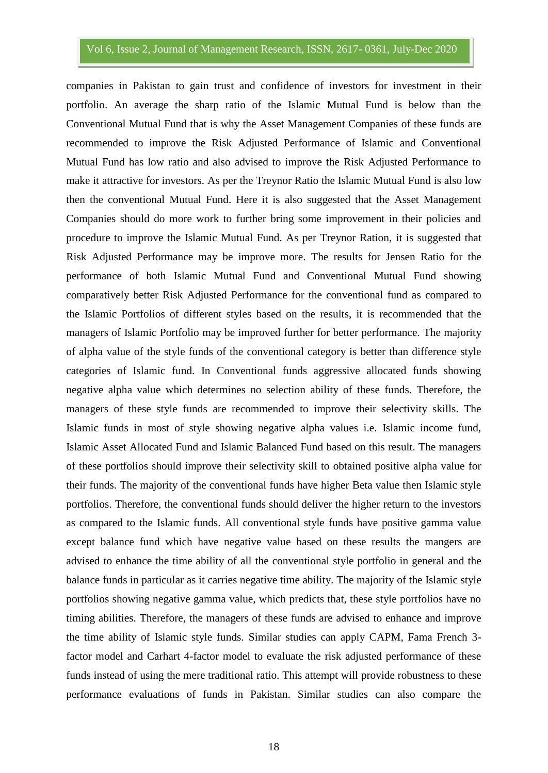companies in Pakistan to gain trust and confidence of investors for investment in their portfolio. An average the sharp ratio of the Islamic Mutual Fund is below than the Conventional Mutual Fund that is why the Asset Management Companies of these funds are recommended to improve the Risk Adjusted Performance of Islamic and Conventional Mutual Fund has low ratio and also advised to improve the Risk Adjusted Performance to make it attractive for investors. As per the Treynor Ratio the Islamic Mutual Fund is also low then the conventional Mutual Fund. Here it is also suggested that the Asset Management Companies should do more work to further bring some improvement in their policies and procedure to improve the Islamic Mutual Fund. As per Treynor Ration, it is suggested that Risk Adjusted Performance may be improve more. The results for Jensen Ratio for the performance of both Islamic Mutual Fund and Conventional Mutual Fund showing comparatively better Risk Adjusted Performance for the conventional fund as compared to the Islamic Portfolios of different styles based on the results, it is recommended that the managers of Islamic Portfolio may be improved further for better performance. The majority of alpha value of the style funds of the conventional category is better than difference style categories of Islamic fund. In Conventional funds aggressive allocated funds showing negative alpha value which determines no selection ability of these funds. Therefore, the managers of these style funds are recommended to improve their selectivity skills. The Islamic funds in most of style showing negative alpha values i.e. Islamic income fund, Islamic Asset Allocated Fund and Islamic Balanced Fund based on this result. The managers of these portfolios should improve their selectivity skill to obtained positive alpha value for their funds. The majority of the conventional funds have higher Beta value then Islamic style portfolios. Therefore, the conventional funds should deliver the higher return to the investors as compared to the Islamic funds. All conventional style funds have positive gamma value except balance fund which have negative value based on these results the mangers are advised to enhance the time ability of all the conventional style portfolio in general and the balance funds in particular as it carries negative time ability. The majority of the Islamic style portfolios showing negative gamma value, which predicts that, these style portfolios have no timing abilities. Therefore, the managers of these funds are advised to enhance and improve the time ability of Islamic style funds. Similar studies can apply CAPM, Fama French 3 factor model and Carhart 4-factor model to evaluate the risk adjusted performance of these funds instead of using the mere traditional ratio. This attempt will provide robustness to these performance evaluations of funds in Pakistan. Similar studies can also compare the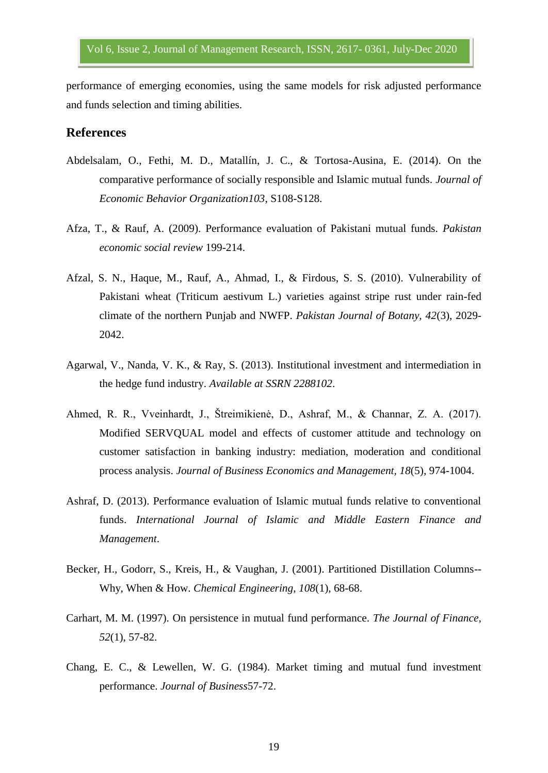performance of emerging economies, using the same models for risk adjusted performance and funds selection and timing abilities.

#### **References**

- Abdelsalam, O., Fethi, M. D., Matallín, J. C., & Tortosa-Ausina, E. (2014). On the comparative performance of socially responsible and Islamic mutual funds. *Journal of Economic Behavior Organization103*, S108-S128.
- Afza, T., & Rauf, A. (2009). Performance evaluation of Pakistani mutual funds. *Pakistan economic social review* 199-214.
- Afzal, S. N., Haque, M., Rauf, A., Ahmad, I., & Firdous, S. S. (2010). Vulnerability of Pakistani wheat (Triticum aestivum L.) varieties against stripe rust under rain-fed climate of the northern Punjab and NWFP. *Pakistan Journal of Botany, 42*(3), 2029- 2042.
- Agarwal, V., Nanda, V. K., & Ray, S. (2013). Institutional investment and intermediation in the hedge fund industry. *Available at SSRN 2288102*.
- Ahmed, R. R., Vveinhardt, J., Štreimikienė, D., Ashraf, M., & Channar, Z. A. (2017). Modified SERVQUAL model and effects of customer attitude and technology on customer satisfaction in banking industry: mediation, moderation and conditional process analysis. *Journal of Business Economics and Management, 18*(5), 974-1004.
- Ashraf, D. (2013). Performance evaluation of Islamic mutual funds relative to conventional funds. *International Journal of Islamic and Middle Eastern Finance and Management*.
- Becker, H., Godorr, S., Kreis, H., & Vaughan, J. (2001). Partitioned Distillation Columns-- Why, When & How. *Chemical Engineering, 108*(1), 68-68.
- Carhart, M. M. (1997). On persistence in mutual fund performance. *The Journal of Finance, 52*(1), 57-82.
- Chang, E. C., & Lewellen, W. G. (1984). Market timing and mutual fund investment performance. *Journal of Business*57-72.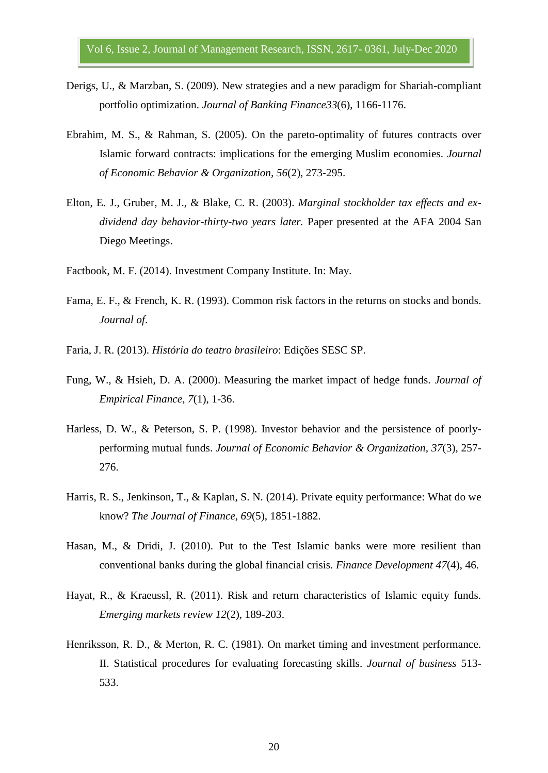- Derigs, U., & Marzban, S. (2009). New strategies and a new paradigm for Shariah-compliant portfolio optimization. *Journal of Banking Finance33*(6), 1166-1176.
- Ebrahim, M. S., & Rahman, S. (2005). On the pareto-optimality of futures contracts over Islamic forward contracts: implications for the emerging Muslim economies. *Journal of Economic Behavior & Organization, 56*(2), 273-295.
- Elton, E. J., Gruber, M. J., & Blake, C. R. (2003). *Marginal stockholder tax effects and exdividend day behavior-thirty-two years later.* Paper presented at the AFA 2004 San Diego Meetings.
- Factbook, M. F. (2014). Investment Company Institute. In: May.
- Fama, E. F., & French, K. R. (1993). Common risk factors in the returns on stocks and bonds. *Journal of*.
- Faria, J. R. (2013). *História do teatro brasileiro*: Edições SESC SP.
- Fung, W., & Hsieh, D. A. (2000). Measuring the market impact of hedge funds. *Journal of Empirical Finance, 7*(1), 1-36.
- Harless, D. W., & Peterson, S. P. (1998). Investor behavior and the persistence of poorlyperforming mutual funds. *Journal of Economic Behavior & Organization, 37*(3), 257- 276.
- Harris, R. S., Jenkinson, T., & Kaplan, S. N. (2014). Private equity performance: What do we know? *The Journal of Finance, 69*(5), 1851-1882.
- Hasan, M., & Dridi, J. (2010). Put to the Test Islamic banks were more resilient than conventional banks during the global financial crisis. *Finance Development 47*(4), 46.
- Hayat, R., & Kraeussl, R. (2011). Risk and return characteristics of Islamic equity funds. *Emerging markets review 12*(2), 189-203.
- Henriksson, R. D., & Merton, R. C. (1981). On market timing and investment performance. II. Statistical procedures for evaluating forecasting skills. *Journal of business* 513- 533.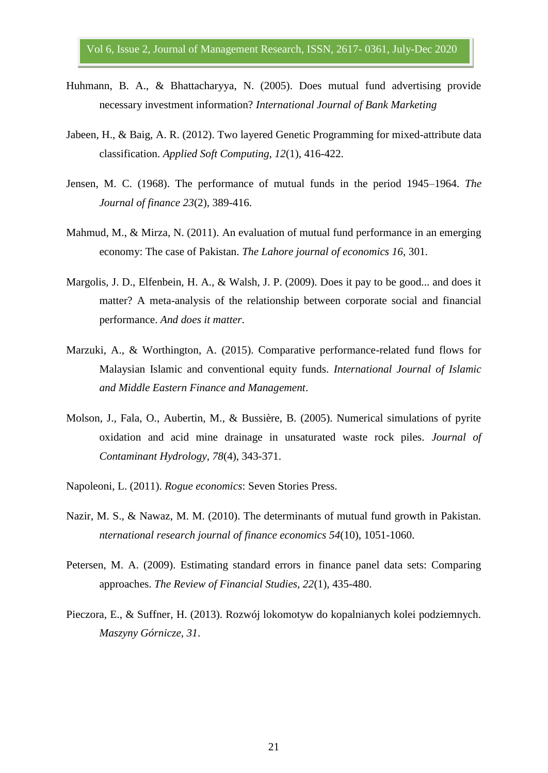- Huhmann, B. A., & Bhattacharyya, N. (2005). Does mutual fund advertising provide necessary investment information? *International Journal of Bank Marketing*
- Jabeen, H., & Baig, A. R. (2012). Two layered Genetic Programming for mixed-attribute data classification. *Applied Soft Computing, 12*(1), 416-422.
- Jensen, M. C. (1968). The performance of mutual funds in the period 1945–1964. *The Journal of finance 23*(2), 389-416.
- Mahmud, M., & Mirza, N. (2011). An evaluation of mutual fund performance in an emerging economy: The case of Pakistan. *The Lahore journal of economics 16*, 301.
- Margolis, J. D., Elfenbein, H. A., & Walsh, J. P. (2009). Does it pay to be good... and does it matter? A meta-analysis of the relationship between corporate social and financial performance. *And does it matter*.
- Marzuki, A., & Worthington, A. (2015). Comparative performance-related fund flows for Malaysian Islamic and conventional equity funds. *International Journal of Islamic and Middle Eastern Finance and Management*.
- Molson, J., Fala, O., Aubertin, M., & Bussière, B. (2005). Numerical simulations of pyrite oxidation and acid mine drainage in unsaturated waste rock piles. *Journal of Contaminant Hydrology, 78*(4), 343-371.
- Napoleoni, L. (2011). *Rogue economics*: Seven Stories Press.
- Nazir, M. S., & Nawaz, M. M. (2010). The determinants of mutual fund growth in Pakistan. *nternational research journal of finance economics 54*(10), 1051-1060.
- Petersen, M. A. (2009). Estimating standard errors in finance panel data sets: Comparing approaches. *The Review of Financial Studies, 22*(1), 435-480.
- Pieczora, E., & Suffner, H. (2013). Rozwój lokomotyw do kopalnianych kolei podziemnych. *Maszyny Górnicze, 31*.